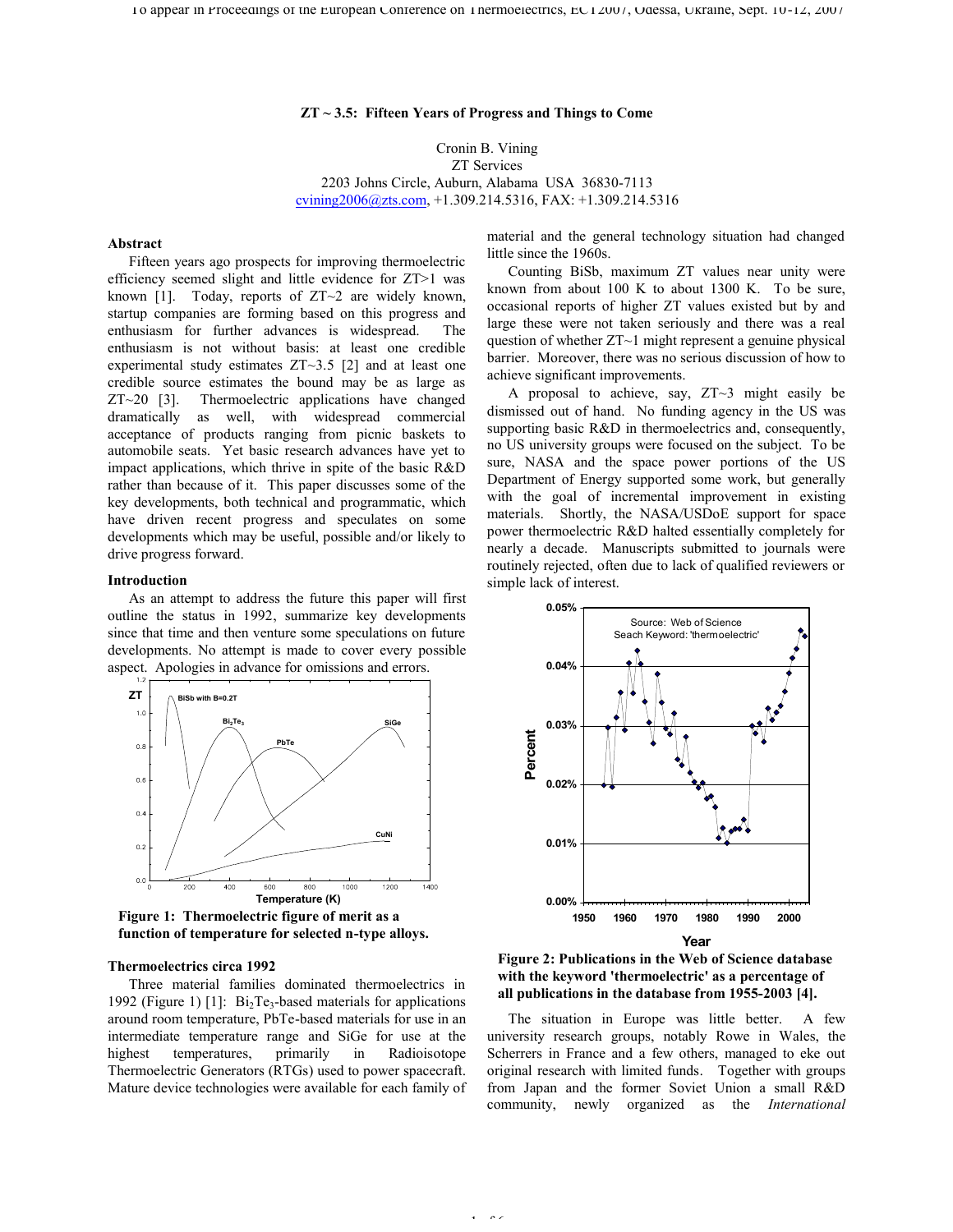# **ZT ~ 3.5: Fifteen Years of Progress and Things to Come**

Cronin B. Vining ZT Services 2203 Johns Circle, Auburn, Alabama USA 36830-7113 cvining2006@zts.com, +1.309.214.5316, FAX: +1.309.214.5316

# **Abstract**

Fifteen years ago prospects for improving thermoelectric efficiency seemed slight and little evidence for ZT>1 was known [1]. Today, reports of  $ZT\sim2$  are widely known, startup companies are forming based on this progress and enthusiasm for further advances is widespread. The enthusiasm is not without basis: at least one credible experimental study estimates ZT~3.5 [2] and at least one credible source estimates the bound may be as large as ZT~20 [3]. Thermoelectric applications have changed dramatically as well, with widespread commercial acceptance of products ranging from picnic baskets to automobile seats. Yet basic research advances have yet to impact applications, which thrive in spite of the basic R&D rather than because of it. This paper discusses some of the key developments, both technical and programmatic, which have driven recent progress and speculates on some developments which may be useful, possible and/or likely to drive progress forward.

# **Introduction**

As an attempt to address the future this paper will first outline the status in 1992, summarize key developments since that time and then venture some speculations on future developments. No attempt is made to cover every possible aspect. Apologies in advance for omissions and errors.



**Figure 1: Thermoelectric figure of merit as a function of temperature for selected n-type alloys.**

# **Thermoelectrics circa 1992**

Three material families dominated thermoelectrics in 1992 (Figure 1) [1]:  $Bi<sub>2</sub>Te<sub>3</sub>$ -based materials for applications around room temperature, PbTe-based materials for use in an intermediate temperature range and SiGe for use at the highest temperatures, primarily in Radioisotope Thermoelectric Generators (RTGs) used to power spacecraft. Mature device technologies were available for each family of

material and the general technology situation had changed little since the 1960s.

Counting BiSb, maximum ZT values near unity were known from about 100 K to about 1300 K. To be sure, occasional reports of higher ZT values existed but by and large these were not taken seriously and there was a real question of whether ZT~1 might represent a genuine physical barrier. Moreover, there was no serious discussion of how to achieve significant improvements.

A proposal to achieve, say, ZT~3 might easily be dismissed out of hand. No funding agency in the US was supporting basic R&D in thermoelectrics and, consequently, no US university groups were focused on the subject. To be sure, NASA and the space power portions of the US Department of Energy supported some work, but generally with the goal of incremental improvement in existing materials. Shortly, the NASA/USDoE support for space power thermoelectric R&D halted essentially completely for nearly a decade. Manuscripts submitted to journals were routinely rejected, often due to lack of qualified reviewers or simple lack of interest.





The situation in Europe was little better. A few university research groups, notably Rowe in Wales, the Scherrers in France and a few others, managed to eke out original research with limited funds. Together with groups from Japan and the former Soviet Union a small R&D community, newly organized as the *International* 

 $\sim$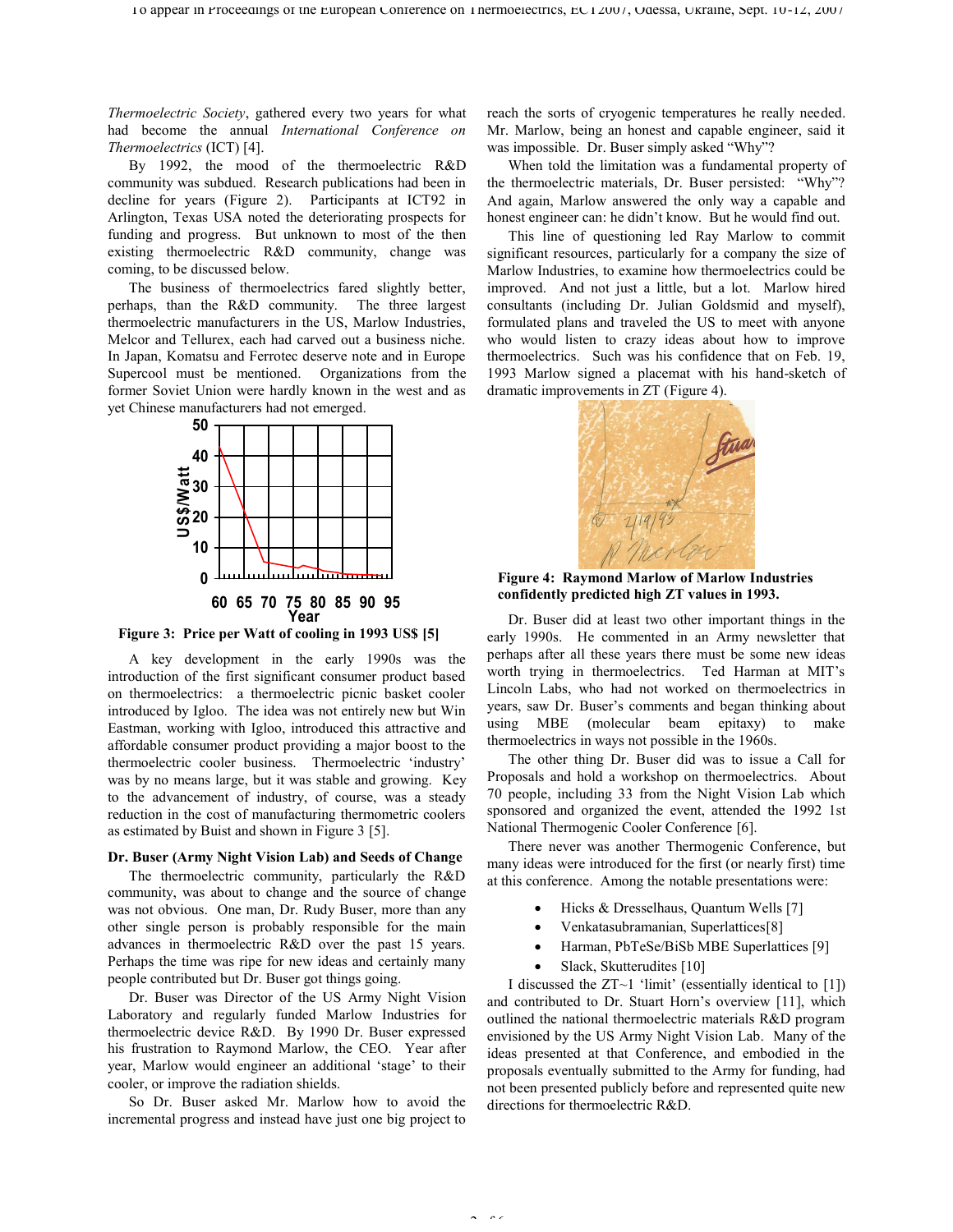*Thermoelectric Society*, gathered every two years for what had become the annual *International Conference on Thermoelectrics* (ICT) [4].

By 1992, the mood of the thermoelectric R&D community was subdued. Research publications had been in decline for years (Figure 2). Participants at ICT92 in Arlington, Texas USA noted the deteriorating prospects for funding and progress. But unknown to most of the then existing thermoelectric R&D community, change was coming, to be discussed below.

The business of thermoelectrics fared slightly better, perhaps, than the R&D community. The three largest thermoelectric manufacturers in the US, Marlow Industries, Melcor and Tellurex, each had carved out a business niche. In Japan, Komatsu and Ferrotec deserve note and in Europe Supercool must be mentioned. Organizations from the former Soviet Union were hardly known in the west and as yet Chinese manufacturers had not emerged.



**Figure 3: Price per Watt of cooling in 1993 US\$ [5]**

A key development in the early 1990s was the introduction of the first significant consumer product based on thermoelectrics: a thermoelectric picnic basket cooler introduced by Igloo. The idea was not entirely new but Win Eastman, working with Igloo, introduced this attractive and affordable consumer product providing a major boost to the thermoelectric cooler business. Thermoelectric 'industry' was by no means large, but it was stable and growing. Key to the advancement of industry, of course, was a steady reduction in the cost of manufacturing thermometric coolers as estimated by Buist and shown in Figure 3 [5].

# **Dr. Buser (Army Night Vision Lab) and Seeds of Change**

The thermoelectric community, particularly the R&D community, was about to change and the source of change was not obvious. One man, Dr. Rudy Buser, more than any other single person is probably responsible for the main advances in thermoelectric R&D over the past 15 years. Perhaps the time was ripe for new ideas and certainly many people contributed but Dr. Buser got things going.

Dr. Buser was Director of the US Army Night Vision Laboratory and regularly funded Marlow Industries for thermoelectric device R&D. By 1990 Dr. Buser expressed his frustration to Raymond Marlow, the CEO. Year after year, Marlow would engineer an additional 'stage' to their cooler, or improve the radiation shields.

So Dr. Buser asked Mr. Marlow how to avoid the incremental progress and instead have just one big project to reach the sorts of cryogenic temperatures he really needed. Mr. Marlow, being an honest and capable engineer, said it was impossible. Dr. Buser simply asked "Why"?

When told the limitation was a fundamental property of the thermoelectric materials, Dr. Buser persisted: "Why"? And again, Marlow answered the only way a capable and honest engineer can: he didn't know. But he would find out.

This line of questioning led Ray Marlow to commit significant resources, particularly for a company the size of Marlow Industries, to examine how thermoelectrics could be improved. And not just a little, but a lot. Marlow hired consultants (including Dr. Julian Goldsmid and myself), formulated plans and traveled the US to meet with anyone who would listen to crazy ideas about how to improve thermoelectrics. Such was his confidence that on Feb. 19, 1993 Marlow signed a placemat with his hand-sketch of dramatic improvements in ZT (Figure 4).



**Figure 4: Raymond Marlow of Marlow Industries confidently predicted high ZT values in 1993.**

Dr. Buser did at least two other important things in the early 1990s. He commented in an Army newsletter that perhaps after all these years there must be some new ideas worth trying in thermoelectrics. Ted Harman at MIT's Lincoln Labs, who had not worked on thermoelectrics in years, saw Dr. Buser's comments and began thinking about using MBE (molecular beam epitaxy) to make thermoelectrics in ways not possible in the 1960s.

The other thing Dr. Buser did was to issue a Call for Proposals and hold a workshop on thermoelectrics. About 70 people, including 33 from the Night Vision Lab which sponsored and organized the event, attended the 1992 1st National Thermogenic Cooler Conference [6].

There never was another Thermogenic Conference, but many ideas were introduced for the first (or nearly first) time at this conference. Among the notable presentations were:

- Hicks & Dresselhaus, Quantum Wells [7]
- · Venkatasubramanian, Superlattices[8]
- Harman, PbTeSe/BiSb MBE Superlattices [9]
- Slack, Skutterudites [10]

I discussed the  $ZT\sim1$  'limit' (essentially identical to [1]) and contributed to Dr. Stuart Horn's overview [11], which outlined the national thermoelectric materials R&D program envisioned by the US Army Night Vision Lab. Many of the ideas presented at that Conference, and embodied in the proposals eventually submitted to the Army for funding, had not been presented publicly before and represented quite new directions for thermoelectric R&D.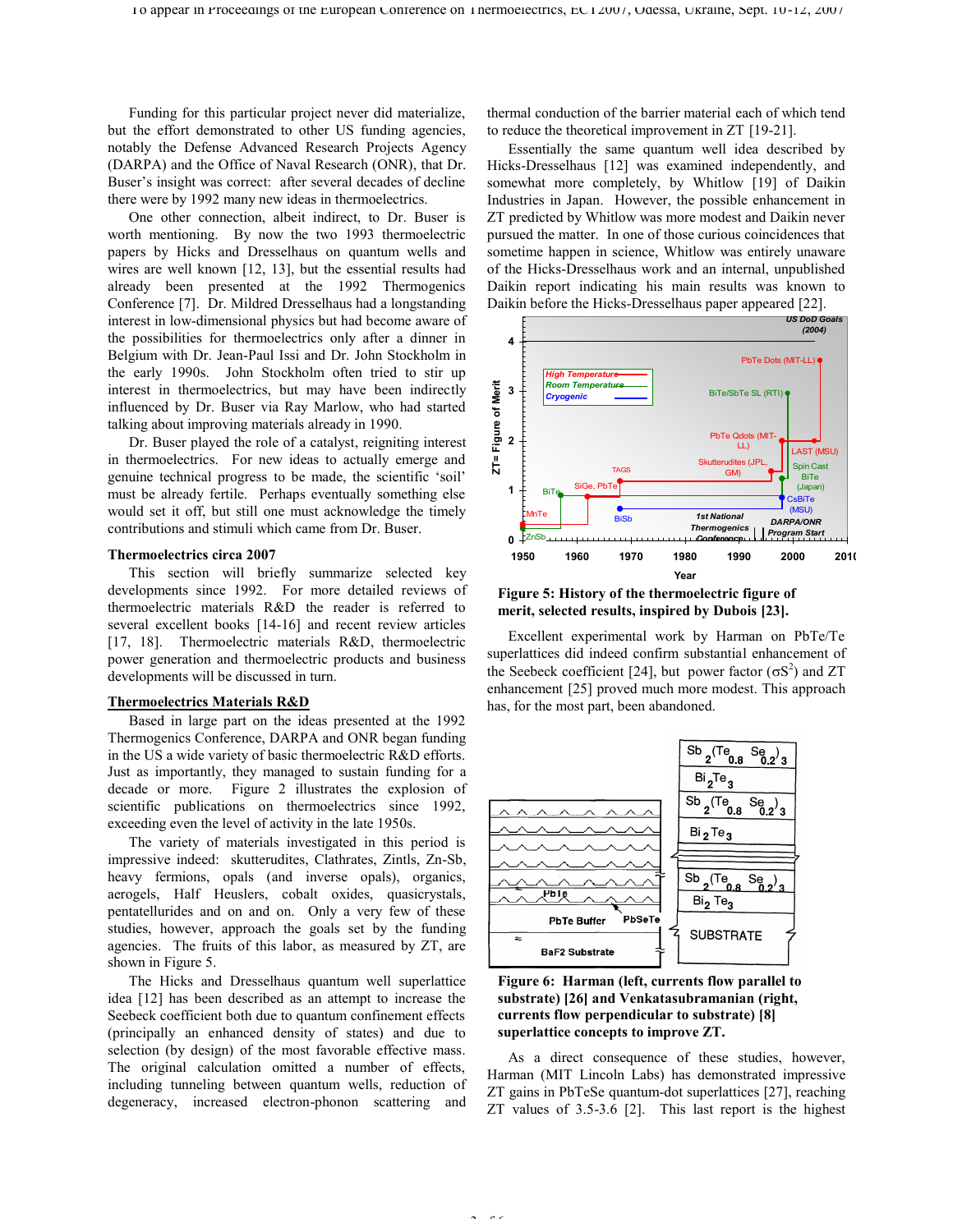Funding for this particular project never did materialize, but the effort demonstrated to other US funding agencies, notably the Defense Advanced Research Projects Agency (DARPA) and the Office of Naval Research (ONR), that Dr. Buser's insight was correct: after several decades of decline there were by 1992 many new ideas in thermoelectrics.

One other connection, albeit indirect, to Dr. Buser is worth mentioning. By now the two 1993 thermoelectric papers by Hicks and Dresselhaus on quantum wells and wires are well known [12, 13], but the essential results had already been presented at the 1992 Thermogenics Conference [7]. Dr. Mildred Dresselhaus had a longstanding interest in low-dimensional physics but had become aware of the possibilities for thermoelectrics only after a dinner in Belgium with Dr. Jean-Paul Issi and Dr. John Stockholm in the early 1990s. John Stockholm often tried to stir up interest in thermoelectrics, but may have been indirectly influenced by Dr. Buser via Ray Marlow, who had started talking about improving materials already in 1990.

Dr. Buser played the role of a catalyst, reigniting interest in thermoelectrics. For new ideas to actually emerge and genuine technical progress to be made, the scientific 'soil' must be already fertile. Perhaps eventually something else would set it off, but still one must acknowledge the timely contributions and stimuli which came from Dr. Buser.

#### **Thermoelectrics circa 2007**

This section will briefly summarize selected key developments since 1992. For more detailed reviews of thermoelectric materials R&D the reader is referred to several excellent books [14-16] and recent review articles [17, 18]. Thermoelectric materials R&D, thermoelectric power generation and thermoelectric products and business developments will be discussed in turn.

# **Thermoelectrics Materials R&D**

Based in large part on the ideas presented at the 1992 Thermogenics Conference, DARPA and ONR began funding in the US a wide variety of basic thermoelectric R&D efforts. Just as importantly, they managed to sustain funding for a decade or more. Figure 2 illustrates the explosion of scientific publications on thermoelectrics since 1992, exceeding even the level of activity in the late 1950s.

The variety of materials investigated in this period is impressive indeed: skutterudites, Clathrates, Zintls, Zn-Sb, heavy fermions, opals (and inverse opals), organics, aerogels, Half Heuslers, cobalt oxides, quasicrystals, pentatellurides and on and on. Only a very few of these studies, however, approach the goals set by the funding agencies. The fruits of this labor, as measured by ZT, are shown in Figure 5.

The Hicks and Dresselhaus quantum well superlattice idea [12] has been described as an attempt to increase the Seebeck coefficient both due to quantum confinement effects (principally an enhanced density of states) and due to selection (by design) of the most favorable effective mass. The original calculation omitted a number of effects, including tunneling between quantum wells, reduction of degeneracy, increased electron-phonon scattering and thermal conduction of the barrier material each of which tend to reduce the theoretical improvement in ZT [19-21].

Essentially the same quantum well idea described by Hicks-Dresselhaus [12] was examined independently, and somewhat more completely, by Whitlow [19] of Daikin Industries in Japan. However, the possible enhancement in ZT predicted by Whitlow was more modest and Daikin never pursued the matter. In one of those curious coincidences that sometime happen in science, Whitlow was entirely unaware of the Hicks-Dresselhaus work and an internal, unpublished Daikin report indicating his main results was known to Daikin before the Hicks-Dresselhaus paper appeared [22].



## **Figure 5: History of the thermoelectric figure of merit, selected results, inspired by Dubois [23].**

Excellent experimental work by Harman on PbTe/Te superlattices did indeed confirm substantial enhancement of the Seebeck coefficient [24], but power factor  $(\sigma S^2)$  and ZT enhancement [25] proved much more modest. This approach has, for the most part, been abandoned.



**Figure 6: Harman (left, currents flow parallel to substrate) [26] and Venkatasubramanian (right, currents flow perpendicular to substrate) [8] superlattice concepts to improve ZT.**

 $\sim$ 

As a direct consequence of these studies, however, Harman (MIT Lincoln Labs) has demonstrated impressive ZT gains in PbTeSe quantum-dot superlattices [27], reaching ZT values of 3.5-3.6 [2]. This last report is the highest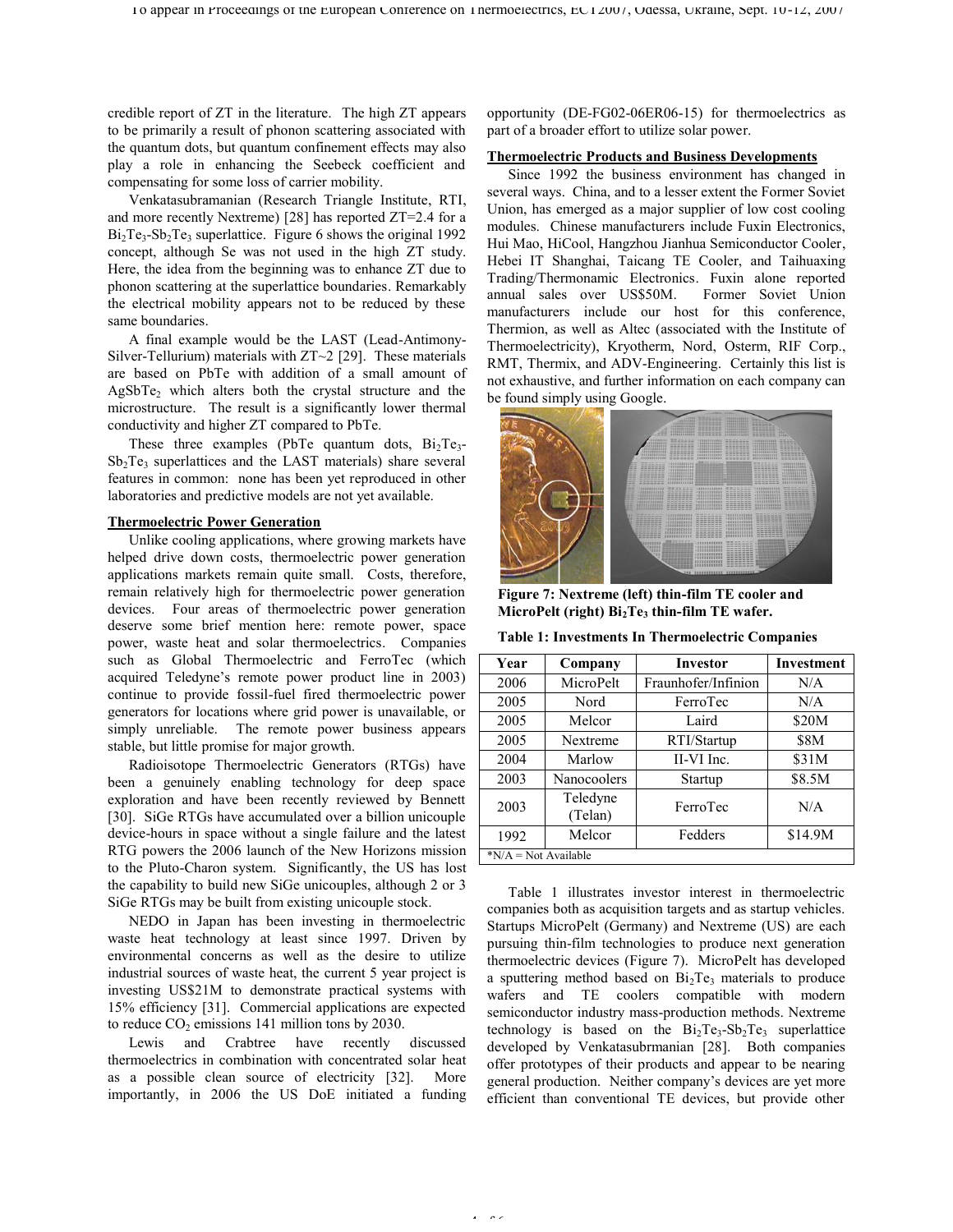credible report of ZT in the literature. The high ZT appears to be primarily a result of phonon scattering associated with the quantum dots, but quantum confinement effects may also play a role in enhancing the Seebeck coefficient and compensating for some loss of carrier mobility.

Venkatasubramanian (Research Triangle Institute, RTI, and more recently Nextreme) [28] has reported ZT=2.4 for a  $Bi<sub>2</sub>Te<sub>3</sub>-Sb<sub>2</sub>Te<sub>3</sub>$  superlattice. Figure 6 shows the original 1992 concept, although Se was not used in the high ZT study. Here, the idea from the beginning was to enhance ZT due to phonon scattering at the superlattice boundaries. Remarkably the electrical mobility appears not to be reduced by these same boundaries.

A final example would be the LAST (Lead-Antimony-Silver-Tellurium) materials with ZT~2 [29]. These materials are based on PbTe with addition of a small amount of  $AgSbTe<sub>2</sub>$  which alters both the crystal structure and the microstructure. The result is a significantly lower thermal conductivity and higher ZT compared to PbTe.

These three examples (PbTe quantum dots,  $Bi<sub>2</sub>Te<sub>3</sub>$ - $Sb<sub>2</sub>Te<sub>3</sub>$  superlattices and the LAST materials) share several features in common: none has been yet reproduced in other laboratories and predictive models are not yet available.

# **Thermoelectric Power Generation**

Unlike cooling applications, where growing markets have helped drive down costs, thermoelectric power generation applications markets remain quite small. Costs, therefore, remain relatively high for thermoelectric power generation devices. Four areas of thermoelectric power generation deserve some brief mention here: remote power, space power, waste heat and solar thermoelectrics. Companies such as Global Thermoelectric and FerroTec (which acquired Teledyne's remote power product line in 2003) continue to provide fossil-fuel fired thermoelectric power generators for locations where grid power is unavailable, or simply unreliable. The remote power business appears stable, but little promise for major growth.

Radioisotope Thermoelectric Generators (RTGs) have been a genuinely enabling technology for deep space exploration and have been recently reviewed by Bennett [30]. SiGe RTGs have accumulated over a billion unicouple device-hours in space without a single failure and the latest RTG powers the 2006 launch of the New Horizons mission to the Pluto-Charon system. Significantly, the US has lost the capability to build new SiGe unicouples, although 2 or 3 SiGe RTGs may be built from existing unicouple stock.

NEDO in Japan has been investing in thermoelectric waste heat technology at least since 1997. Driven by environmental concerns as well as the desire to utilize industrial sources of waste heat, the current 5 year project is investing US\$21M to demonstrate practical systems with 15% efficiency [31]. Commercial applications are expected to reduce  $CO<sub>2</sub>$  emissions 141 million tons by 2030.

Lewis and Crabtree have recently discussed thermoelectrics in combination with concentrated solar heat as a possible clean source of electricity [32]. More importantly, in 2006 the US DoE initiated a funding opportunity (DE-FG02-06ER06-15) for thermoelectrics as part of a broader effort to utilize solar power.

## **Thermoelectric Products and Business Developments**

Since 1992 the business environment has changed in several ways. China, and to a lesser extent the Former Soviet Union, has emerged as a major supplier of low cost cooling modules. Chinese manufacturers include Fuxin Electronics, Hui Mao, HiCool, Hangzhou Jianhua Semiconductor Cooler, Hebei IT Shanghai, Taicang TE Cooler, and Taihuaxing Trading/Thermonamic Electronics. Fuxin alone reported annual sales over US\$50M. Former Soviet Union manufacturers include our host for this conference, Thermion, as well as Altec (associated with the Institute of Thermoelectricity), Kryotherm, Nord, Osterm, RIF Corp., RMT, Thermix, and ADV-Engineering. Certainly this list is not exhaustive, and further information on each company can be found simply using Google.



**Figure 7: Nextreme (left) thin-film TE cooler and MicroPelt (right) Bi2Te<sup>3</sup> thin-film TE wafer.**

**Table 1: Investments In Thermoelectric Companies**

| Year                  | Company             | <b>Investor</b>     | <b>Investment</b> |
|-----------------------|---------------------|---------------------|-------------------|
| 2006                  | MicroPelt           | Fraunhofer/Infinion | N/A               |
| 2005                  | Nord                | FerroTec            | N/A               |
| 2005                  | Melcor              | Laird               | \$20M             |
| 2005                  | Nextreme            | RTI/Startup         | <b>\$8M</b>       |
| 2004                  | Marlow              | II-VI Inc.          | \$31M             |
| 2003                  | Nanocoolers         | Startup             | \$8.5M            |
| 2003                  | Teledyne<br>(Telan) | FerroTec            | N/A               |
| 1992                  | Melcor              | Fedders             | \$14.9M           |
| $N/A = Not Available$ |                     |                     |                   |

Table 1 illustrates investor interest in thermoelectric companies both as acquisition targets and as startup vehicles. Startups MicroPelt (Germany) and Nextreme (US) are each pursuing thin-film technologies to produce next generation thermoelectric devices (Figure 7). MicroPelt has developed a sputtering method based on  $Bi<sub>2</sub>Te<sub>3</sub>$  materials to produce wafers and TE coolers compatible with modern semiconductor industry mass-production methods. Nextreme technology is based on the  $Bi_2Te_3-Sb_2Te_3$  superlattice developed by Venkatasubrmanian [28]. Both companies offer prototypes of their products and appear to be nearing general production. Neither company's devices are yet more efficient than conventional TE devices, but provide other

 $4 + 6$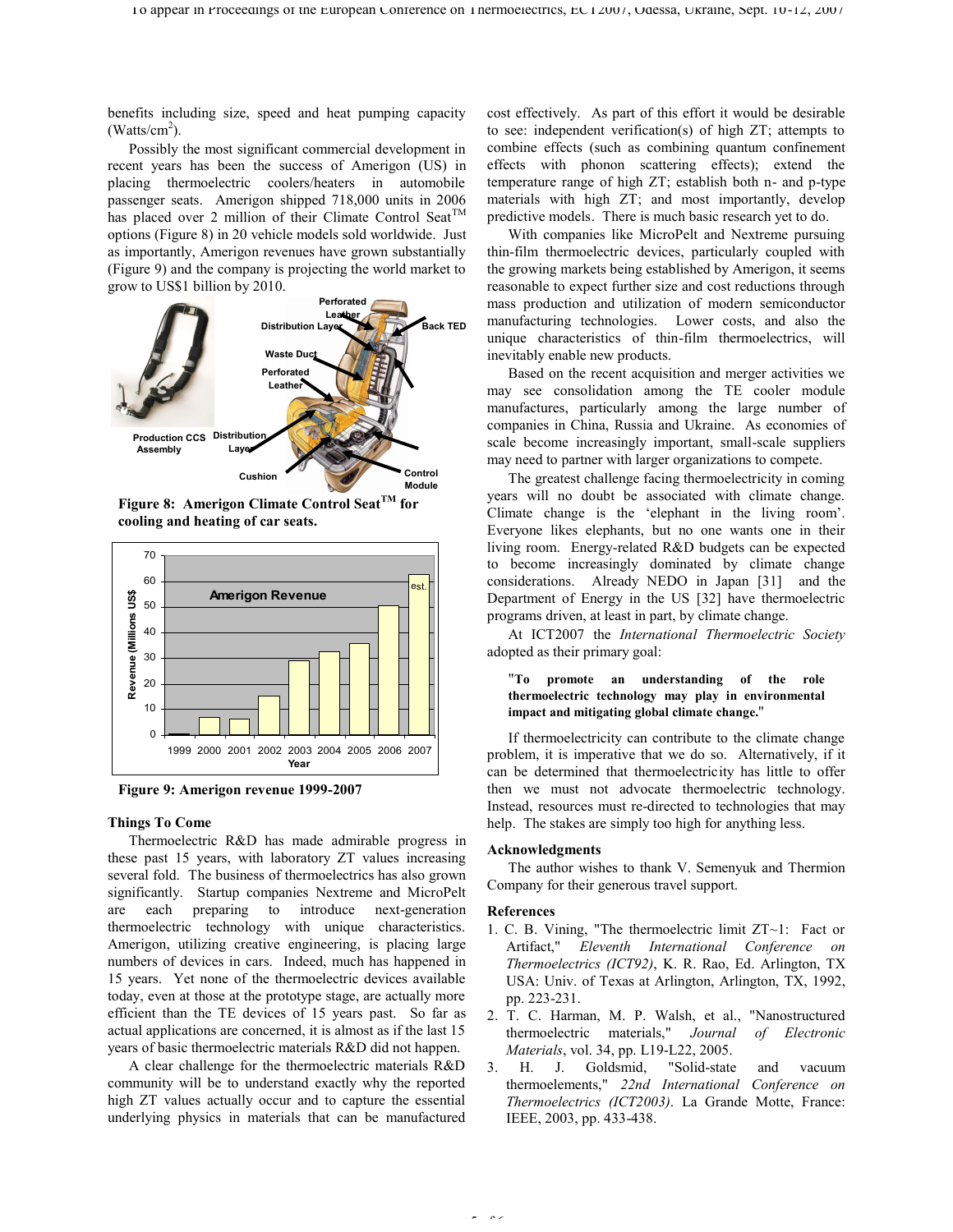benefits including size, speed and heat pumping capacity  $(Watts/cm<sup>2</sup>)$ .

Possibly the most significant commercial development in recent years has been the success of Amerigon (US) in placing thermoelectric coolers/heaters in automobile passenger seats. Amerigon shipped 718,000 units in 2006 has placed over 2 million of their Climate Control Seat<sup>TM</sup> options (Figure 8) in 20 vehicle models sold worldwide. Just as importantly, Amerigon revenues have grown substantially (Figure 9) and the company is projecting the world market to grow to US\$1 billion by 2010.



**Figure 8: Amerigon Climate Control SeatTM for cooling and heating of car seats.**



**Figure 9: Amerigon revenue 1999-2007**

# **Things To Come**

Thermoelectric R&D has made admirable progress in these past 15 years, with laboratory ZT values increasing several fold. The business of thermoelectrics has also grown significantly. Startup companies Nextreme and MicroPelt are each preparing to introduce next-generation thermoelectric technology with unique characteristics. Amerigon, utilizing creative engineering, is placing large numbers of devices in cars. Indeed, much has happened in 15 years. Yet none of the thermoelectric devices available today, even at those at the prototype stage, are actually more efficient than the TE devices of 15 years past. So far as actual applications are concerned, it is almost as if the last 15 years of basic thermoelectric materials R&D did not happen.

A clear challenge for the thermoelectric materials R&D community will be to understand exactly why the reported high ZT values actually occur and to capture the essential underlying physics in materials that can be manufactured cost effectively. As part of this effort it would be desirable to see: independent verification(s) of high ZT; attempts to combine effects (such as combining quantum confinement effects with phonon scattering effects); extend the temperature range of high ZT; establish both n- and p-type materials with high ZT; and most importantly, develop predictive models. There is much basic research yet to do.

With companies like MicroPelt and Nextreme pursuing thin-film thermoelectric devices, particularly coupled with the growing markets being established by Amerigon, it seems reasonable to expect further size and cost reductions through mass production and utilization of modern semiconductor manufacturing technologies. Lower costs, and also the unique characteristics of thin-film thermoelectrics, will inevitably enable new products.

Based on the recent acquisition and merger activities we may see consolidation among the TE cooler module manufactures, particularly among the large number of companies in China, Russia and Ukraine. As economies of scale become increasingly important, small-scale suppliers may need to partner with larger organizations to compete.

The greatest challenge facing thermoelectricity in coming years will no doubt be associated with climate change. Climate change is the 'elephant in the living room'. Everyone likes elephants, but no one wants one in their living room. Energy-related R&D budgets can be expected to become increasingly dominated by climate change considerations. Already NEDO in Japan [31] and the Department of Energy in the US [32] have thermoelectric programs driven, at least in part, by climate change.

At ICT2007 the *International Thermoelectric Society* adopted as their primary goal:

# "**To promote an understanding of the role thermoelectric technology may play in environmental impact and mitigating global climate change.**"

If thermoelectricity can contribute to the climate change problem, it is imperative that we do so. Alternatively, if it can be determined that thermoelectricity has little to offer then we must not advocate thermoelectric technology. Instead, resources must re-directed to technologies that may help. The stakes are simply too high for anything less.

#### **Acknowledgments**

The author wishes to thank V. Semenyuk and Thermion Company for their generous travel support.

#### **References**

- 1. C. B. Vining, "The thermoelectric limit ZT~1: Fact or Artifact," *Eleventh International Conference on Thermoelectrics (ICT92)*, K. R. Rao, Ed. Arlington, TX USA: Univ. of Texas at Arlington, Arlington, TX, 1992, pp. 223-231.
- 2. T. C. Harman, M. P. Walsh, et al., "Nanostructured thermoelectric materials," *Journal of Electronic Materials*, vol. 34, pp. L19-L22, 2005.
- 3. H. J. Goldsmid, "Solid-state and vacuum thermoelements," *22nd International Conference on Thermoelectrics (ICT2003)*. La Grande Motte, France: IEEE, 2003, pp. 433-438.